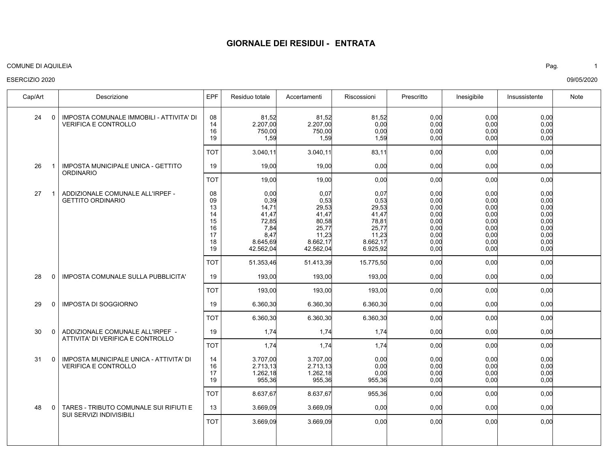### COMUNE DI AQUILEIA Pag. 1

### ESERCIZIO 2020

IMPOSTA COMUNALE IMMOBILI - ATTIVITA' DI VERIFICA E CONTROLLO IMPOSTA MUNICIPALE UNICA - GETTITO **ORDINARIO** ADDIZIONALE COMUNALE ALL'IRPEF - GETTITO ORDINARIO IMPOSTA COMUNALE SULLA PUBBLICITA' IMPOSTA DI SOGGIORNO ADDIZIONALE COMUNALE ALL'IRPEF - ATTIVITA' DI VERIFICA E CONTROLLO IMPOSTA MUNICIPALE UNICA - ATTIVITA' DI VERIFICA E CONTROLLO TARES - TRIBUTO COMUNALE SUI RIFIUTI E SUI SERVIZI INDIVISIBILI 24 26 27 28 29 30 31 48 Cap/Art | Descrizione IEPF Residuo totale Accertamenti | Riscossioni | Prescritto | Inesigibile | Insussistente | Note 0 1 1  $\Omega$  $\Omega$ 0  $\Omega$  $\Omega$ 0,00 0,00  $0.00$  $0.00$ 0,00 0,00  $0.00$ 0,00  $0.00$  $0.00$ 0,00  $0.00$ 0,00  $0.00$ 0,00 0,00 0,00 0,00  $0.00$  $0.00$ 0,00 0,00 81,52 2.207,00 750,00 1,59 19,00 0,00 0,39 14,71 41,47 72,85 7,84 8,47 8.645,69 42.562,04 193,00 6.360,30 1,74 3.707,00 2.713,13 1.262,18 955,36 3.669,09 81,52 2.207,00 750,00 1,59 19,00 0,07  $0.53$ 29,53 41,47 80,58 25,77 11,23 8.662,17 42.562,04 193,00 6.360,30 1,74 3.707,00 2.713,13 1.262,18 955,36 3.669,09 81,52 0,00  $0.00$ 1,59 0,00 0,07  $0.53$ 29,53 41,47 78,81 25,77 11,23 8.662,17 6.925,92 193,00 6.360,30 1,74 0,00  $0.00$ 0,00 955,36 0,00 0,00 0,00 0,00 0,00 0,00 0,00 0,00 0,00  $0.00$ 0,00 0,00 0,00 0,00 0,00 0,00 0,00 0,00 0,00 0,00 0,00 0,00 0,00 0,00 0,00 0,00 0,00 0,00 0,00  $0.00$  $0,00$  $0.00$ 0,00 0,00  $0.00$  $0,00$  $0.00$ 0,00 0,00 0,00 0,00  $0.00$ 0,00 0,00 0,00 08 14 16 19 19 08 09 13 14 15 16 17 18 19 19 19 19 14 16 17 19 13 0,00 0,00 0,00 0,00 0,00 0,00 0,00 0,00 3.040,11 19,00 51.353,46 193,00 6.360,30 1,74 8.637,67 3.669,09 3.040,11 19,00 51.413,39 193,00 6.360,30 1,74 8.637,67 3.669,09 83,11 0,00 15.775,50 193,00 6.360,30 1,74 955,36 0,00 0,00 0,00 0,00 0,00 0,00 0,00 0,00 0,00 0,00 0,00 0,00 0,00 0,00 0,00 0,00 0,00 TOT TOT TOT TOT TOT TOT TOT TOT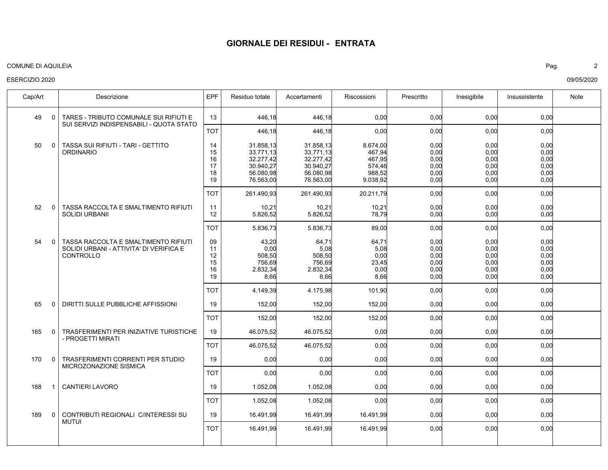### COMUNE DI AQUILEIA Pag. 2

### ESERCIZIO 2020

TARES - TRIBUTO COMUNALE SUI RIFIUTI E SUI SERVIZI INDISPENSABILI - QUOTA STATO TASSA SUI RIFIUTI - TARI - GETTITO **ORDINARIO** TASSA RACCOLTA E SMALTIMENTO RIFIUTI SOLIDI URBANII TASSA RACCOLTA E SMALTIMENTO RIFIUTI SOLIDI URBANI - ATTIVITA' DI VERIFICA E CONTROLLO DIRITTI SULLE PUBBLICHE AFFISSIONI TRASFERIMENTI PER INIZIATIVE TURISTICHE - PROGETTI MIRATI TRASFERIMENTI CORRENTI PER STUDIO MICROZONAZIONE SISMICA CANTIERI LAVORO CONTRIBUTI REGIONALI C/INTERESSI SU MUTUI 49 50 52 54 65 165 170 188 189 Cap/Art | Descrizione IEPF Residuo totale Accertamenti | Riscossioni | Prescritto | Inesigibile | Insussistente | Note 0  $\Omega$  $\Omega$  $\Omega$  $\Omega$ 0 0 1 0 0,00 0,00  $0.00$  $0.00$  $0.00$ 0,00  $0.00$ 0,00  $0.00$ 0,00  $0.00$  $0.00$ 0,00 0,00  $0.00$ 0,00 0,00 0,00 0,00 0,00 446,18 31.858,13 33.771,13 32.277,42 30.940,27 56.080,98 76.563,00 10,21 5.826,52 43,20  $0.00$ 508,50 756,69 2.832,34 8,66 152,00 46.075,52 0,00 1.052,08 16.491,99 446,18 31.858,13 33.771,13 32.277,42 30.940,27 56.080,98 76.563,00 10,21 5.826,52 64,7 $'$ 5,08 508,50 756,69 2.832,34 8,66 152,00 46.075,52 0,00 1.052,08 16.491,99 0,00 8.674,00 467,94 467,95 574,46 988,52 9.038,92 10,21 78,79 64,71 5,08 0,00 23,45 0,00 8,66 152,00 0,00 0,00 0,00 16.491,99 0,00 0,00 0,00 0,00  $0.00$ 0,00  $0.00$ 0,00 0,00 0,00 0,00 0,00 0,00 0,00 0,00 0,00 0,00 0,00 0,00 0,00 0,00 0,00 0,00  $0.00$  $0.00$ 0,00  $0.00$ 0,00  $0.00$ 0,00  $0.00$ 0,00 0,00 0,00 0,00 0,00 0,00 0,00 0,00 0,00 13 14 15 16 17 18 19 11 12 09 11 12 15 16 19 19 19 19 19 19 0,00 0,00 0,00 0,00 0,00 0,00 0,00 0,00 0,00 446,18 261.490,93 5.836,73 4.149,39 152,00 46.075,52 0,00 1.052,08 16.491,99 446,18 261.490,93 5.836,73 4.175,98 152,00 46.075,52 0,00 1.052,08 16.491,99 0,00 20.211,79 89,00 101,90 152,00 0,00 0,00 0,00 16.491,99 0,00 0,00 0,00 0,00 0,00 0,00 0,00 0,00 0,00 0,00 0,00 0,00 0,00 0,00 0,00 0,00 0,00 0,00 TOT TOT TOT TOT TOT TOT TOT TOT TOT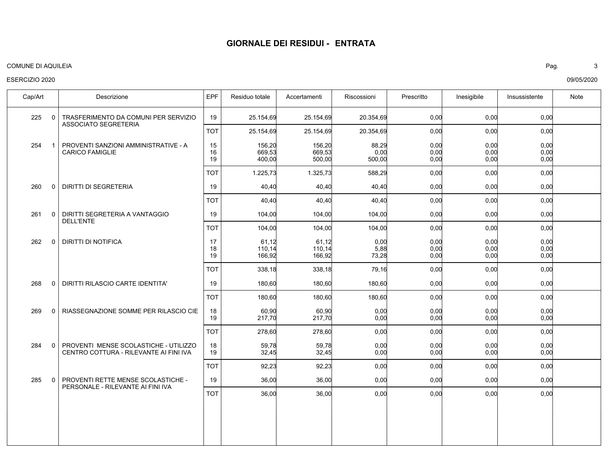### COMUNE DI AQUILEIA Pag. 3

### ESERCIZIO 2020

TRASFERIMENTO DA COMUNI PER SERVIZIO ASSOCIATO SEGRETERIA PROVENTI SANZIONI AMMINISTRATIVE - A CARICO FAMIGLIE DIRITTI DI SEGRETERIA DIRITTI SEGRETERIA A VANTAGGIO DELL'ENTE DIRITTI DI NOTIFICA DIRITTI RILASCIO CARTE IDENTITA' RIASSEGNAZIONE SOMME PER RILASCIO CIE PROVENTI MENSE SCOLASTICHE - UTILIZZO CENTRO COTTURA - RILEVANTE AI FINI IVA PROVENTI RETTE MENSE SCOLASTICHE - PERSONALE - RILEVANTE AI FINI IVA 225 254 260 261 262 268 269 284 285 Cap/Art | Descrizione IEPF Residuo totale Accertamenti | Riscossioni | Prescritto | Inesigibile | Insussistente | Note 0 1 0 0  $\Omega$ 0 0 0 0 0,00 0,00  $0.00$  $0.00$ 0,00 0,00 0,00  $0.00$  $0.00$ 0,00 0,00  $0.00$ 0,00 0,00 0,00 25.154,69 156,20 669,53 400,00 40,40 104,00 61,12 110,14 166,92 180,60 60,90 217,70 59,78 32,45 36,00 25.154,69 156,20 669,53 500,00 40,40 104,00 61,12 110,14 166,92 180,60 60,90 217,70 59,78 32,45 36,00 20.354,69 88,29 0,00 500,00 40,40 104,00 0,00 5,88 73,28 180,60 0,00  $0.00$ 0,00 0,00 0,00 0,00 0,00 0,00 0,00 0,00 0,00 0,00 0,00 0,00 0,00 0,00 0,00 0,00 0,00 0,00 0,00 0,00 0,00  $0.00$ 0,00 0,00 0,00 0,00 0,00 0,00 0,00 0,00 0,00 0,00 0,00 19 15 16 19 19 19 17 18 19 19 18 19 18 19 19 0,00 0,00 0,00 0,00 0,00 0,00 0,00 0,00 0,00 25.154,69 1.225,73 40,40 104,00 338,18 180,60 278,60 92,23 36,00 25.154,69 1.325,73 40,40 104,00 338,18 180,60 278,60 92,23 36,00 20.354,69 588,29 40,40 104,00 79,16 180,60 0,00 0,00 0,00 0,00 0,00 0,00 0,00 0,00 0,00 0,00 0,00 0,00 0,00 0,00 0,00 0,00 0,00 0,00 0,00 0,00 0,00 TOT TOT TOT TOT TOT TOT TOT TOT TOT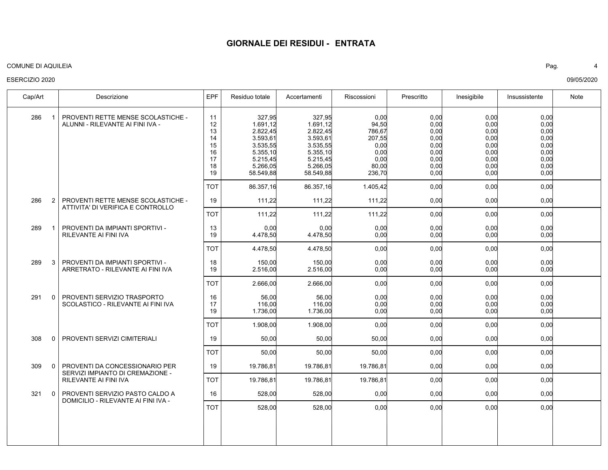### COMUNE DI AQUILEIA Pag. 4

### ESERCIZIO 2020

| Cap/Art             | Descrizione                                                                                 | EPF                                                | Residuo totale                                                                                          | Accertamenti                                                                                            | Riscossioni                                                                  | Prescritto                                                           | Inesigibile                                                          | Insussistente                                                        | Note |
|---------------------|---------------------------------------------------------------------------------------------|----------------------------------------------------|---------------------------------------------------------------------------------------------------------|---------------------------------------------------------------------------------------------------------|------------------------------------------------------------------------------|----------------------------------------------------------------------|----------------------------------------------------------------------|----------------------------------------------------------------------|------|
| 286<br>$\mathbf{1}$ | PROVENTI RETTE MENSE SCOLASTICHE -<br>ALUNNI - RILEVANTE AI FINI IVA -                      | 11<br>12<br>13<br>14<br>15<br>16<br>17<br>18<br>19 | 327,95<br>1.691,12<br>2.822,45<br>3.593,61<br>3.535,55<br>5.355,10<br>5.215,45<br>5.266,05<br>58.549,88 | 327,95<br>1.691,12<br>2.822,45<br>3.593,61<br>3.535,55<br>5.355,10<br>5.215,45<br>5.266,05<br>58.549,88 | 0,00<br>94,50<br>786,67<br>207,55<br>0,00<br>0.00<br>0.00<br>80,00<br>236,70 | 0,00<br>0,00<br>0,00<br>0,00<br>0,00<br>0,00<br>0,00<br>0,00<br>0,00 | 0,00<br>0,00<br>0,00<br>0,00<br>0,00<br>0,00<br>0,00<br>0,00<br>0,00 | 0,00<br>0,00<br>0,00<br>0,00<br>0,00<br>0,00<br>0,00<br>0,00<br>0,00 |      |
|                     |                                                                                             | <b>TOT</b>                                         | 86.357,16                                                                                               | 86.357,16                                                                                               | 1.405,42                                                                     | 0,00                                                                 | 0,00                                                                 | 0,00                                                                 |      |
| 286<br>2            | PROVENTI RETTE MENSE SCOLASTICHE -<br>ATTIVITA' DI VERIFICA E CONTROLLO                     | 19                                                 | 111,22                                                                                                  | 111,22                                                                                                  | 111,22                                                                       | 0,00                                                                 | 0,00                                                                 | 0,00                                                                 |      |
|                     |                                                                                             | <b>TOT</b>                                         | 111,22                                                                                                  | 111,22                                                                                                  | 111,22                                                                       | 0,00                                                                 | 0,00                                                                 | 0,00                                                                 |      |
| 289<br>-1           | PROVENTI DA IMPIANTI SPORTIVI -<br><b>RILEVANTE AI FINI IVA</b>                             | 13<br>19                                           | 0,00<br>4.478.50                                                                                        | 0,00<br>4.478,50                                                                                        | 0,00<br>0,00                                                                 | 0,00<br>0,00                                                         | 0,00<br>0,00                                                         | 0,00<br>0.00                                                         |      |
|                     |                                                                                             | TOT                                                | 4.478,50                                                                                                | 4.478,50                                                                                                | 0,00                                                                         | 0,00                                                                 | 0,00                                                                 | 0,00                                                                 |      |
| 289<br>3            | PROVENTI DA IMPIANTI SPORTIVI -<br>ARRETRATO - RILEVANTE AI FINI IVA                        | 18<br>19                                           | 150,00<br>2.516,00                                                                                      | 150,00<br>2.516,00                                                                                      | 0,00<br>0,00                                                                 | 0,00<br>0,00                                                         | 0,00<br>0,00                                                         | 0,00<br>0,00                                                         |      |
|                     |                                                                                             | тот                                                | 2.666,00                                                                                                | 2.666,00                                                                                                | 0,00                                                                         | 0,00                                                                 | 0,00                                                                 | 0,00                                                                 |      |
| 291<br>$\Omega$     | PROVENTI SERVIZIO TRASPORTO<br>SCOLASTICO - RILEVANTE AI FINI IVA                           | 16<br>17<br>19                                     | 56,00<br>116,00<br>1.736,00                                                                             | 56,00<br>116,00<br>1.736,00                                                                             | 0,00<br>0,00<br>0,00                                                         | 0,00<br>0,00<br>0,00                                                 | 0,00<br>0,00<br>0,00                                                 | 0,00<br>0,00<br>0,00                                                 |      |
|                     |                                                                                             | <b>TOT</b>                                         | 1.908,00                                                                                                | 1.908,00                                                                                                | 0,00                                                                         | 0,00                                                                 | 0,00                                                                 | 0,00                                                                 |      |
| 308<br>0            | PROVENTI SERVIZI CIMITERIALI                                                                | 19                                                 | 50,00                                                                                                   | 50,00                                                                                                   | 50,00                                                                        | 0,00                                                                 | 0,00                                                                 | 0,00                                                                 |      |
|                     |                                                                                             | тот                                                | 50,00                                                                                                   | 50,00                                                                                                   | 50.00                                                                        | 0.00                                                                 | 0,00                                                                 | 0,00                                                                 |      |
| 309<br>$\Omega$     | PROVENTI DA CONCESSIONARIO PER<br>SERVIZI IMPIANTO DI CREMAZIONE -<br>RILEVANTE AI FINI IVA | 19                                                 | 19.786,81                                                                                               | 19.786,81                                                                                               | 19.786,81                                                                    | 0,00                                                                 | 0,00                                                                 | 0,00                                                                 |      |
|                     |                                                                                             | <b>TOT</b>                                         | 19.786,81                                                                                               | 19.786,81                                                                                               | 19.786,81                                                                    | 0,00                                                                 | 0,00                                                                 | 0,00                                                                 |      |
| 321<br>$\Omega$     | PROVENTI SERVIZIO PASTO CALDO A<br>DOMICILIO - RILEVANTE AI FINI IVA -                      | 16                                                 | 528,00                                                                                                  | 528,00                                                                                                  | 0,00                                                                         | 0,00                                                                 | 0,00                                                                 | 0,00                                                                 |      |
|                     |                                                                                             | тот                                                | 528,00                                                                                                  | 528,00                                                                                                  | 0,00                                                                         | 0,00                                                                 | 0,00                                                                 | 0,00                                                                 |      |
|                     |                                                                                             |                                                    |                                                                                                         |                                                                                                         |                                                                              |                                                                      |                                                                      |                                                                      |      |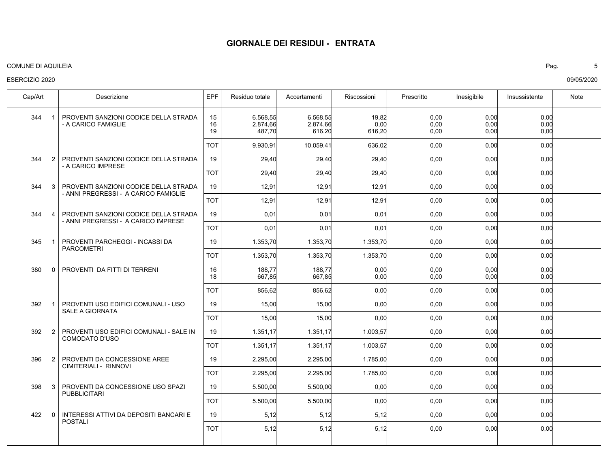### COMUNE DI AQUILEIA Pag. 5

### ESERCIZIO 2020

| Descrizione                                                                   | <b>EPF</b>          | Residuo totale                 | Accertamenti | Riscossioni                                                                                               | Prescritto   | Inesigibile                                                                                                                | Insussistente                                                | Note                                                                                                                                                                                         |
|-------------------------------------------------------------------------------|---------------------|--------------------------------|--------------|-----------------------------------------------------------------------------------------------------------|--------------|----------------------------------------------------------------------------------------------------------------------------|--------------------------------------------------------------|----------------------------------------------------------------------------------------------------------------------------------------------------------------------------------------------|
| PROVENTI SANZIONI CODICE DELLA STRADA<br>- A CARICO FAMIGLIE                  | 15<br>16<br>19      | 6.568,55<br>2.874,66<br>487,70 | 616,20       |                                                                                                           | 0,00         |                                                                                                                            | 0,00<br>0,00<br>0,00                                         |                                                                                                                                                                                              |
|                                                                               | <b>TOT</b>          | 9.930,91                       | 10.059,41    |                                                                                                           | 0,00         |                                                                                                                            | 0,00                                                         |                                                                                                                                                                                              |
| PROVENTI SANZIONI CODICE DELLA STRADA<br>- A CARICO IMPRESE                   | 19                  | 29,40                          | 29,40        | 29,40                                                                                                     | 0,00         |                                                                                                                            | 0,00                                                         |                                                                                                                                                                                              |
|                                                                               | <b>TOT</b>          | 29,40                          |              |                                                                                                           | 0,00         |                                                                                                                            | 0,00                                                         |                                                                                                                                                                                              |
| PROVENTI SANZIONI CODICE DELLA STRADA<br>- ANNI PREGRESSI - A CARICO FAMIGLIE | 19                  | 12,91                          | 12,91        | 12,91                                                                                                     | 0,00         |                                                                                                                            | 0,00                                                         |                                                                                                                                                                                              |
|                                                                               | <b>TOT</b>          | 12,91                          | 12,91        | 12,91                                                                                                     |              |                                                                                                                            | 0,00                                                         |                                                                                                                                                                                              |
| PROVENTI SANZIONI CODICE DELLA STRADA<br>- ANNI PREGRESSI - A CARICO IMPRESE  | 19                  | 0,01                           | 0,01         | 0,01                                                                                                      | 0,00         |                                                                                                                            | 0,00                                                         |                                                                                                                                                                                              |
|                                                                               | <b>TOT</b>          | 0,01                           | 0,01         | 0,01                                                                                                      |              |                                                                                                                            | 0,00                                                         |                                                                                                                                                                                              |
| PROVENTI PARCHEGGI - INCASSI DA<br><b>PARCOMETRI</b>                          | 19                  | 1.353,70                       | 1.353,70     | 1.353,70                                                                                                  | 0,00         |                                                                                                                            | 0,00                                                         |                                                                                                                                                                                              |
|                                                                               | <b>TOT</b>          | 1.353,70                       | 1.353,70     |                                                                                                           | 0,00         |                                                                                                                            | 0,00                                                         |                                                                                                                                                                                              |
| PROVENTI DA FITTI DI TERRENI                                                  | 16<br>18            | 188,77<br>667,85               |              | 0,00<br>0,00                                                                                              | 0,00<br>0.00 |                                                                                                                            | 0,00<br>0,00                                                 |                                                                                                                                                                                              |
|                                                                               | <b>TOT</b>          | 856,62                         |              |                                                                                                           | 0,00         |                                                                                                                            | 0,00                                                         |                                                                                                                                                                                              |
| PROVENTI USO EDIFICI COMUNALI - USO<br>SALE A GIORNATA                        | 19                  | 15,00                          |              |                                                                                                           |              |                                                                                                                            | 0,00                                                         |                                                                                                                                                                                              |
|                                                                               | <b>TOT</b>          | 15,00                          |              | 0,00                                                                                                      |              |                                                                                                                            | 0,00                                                         |                                                                                                                                                                                              |
| PROVENTI USO EDIFICI COMUNALI - SALE IN<br><b>COMODATO D'USO</b>              | 19                  | 1.351,17                       |              |                                                                                                           | 0,00         |                                                                                                                            | 0,00                                                         |                                                                                                                                                                                              |
|                                                                               | <b>TOT</b>          | 1.351,17                       |              |                                                                                                           | 0,00         |                                                                                                                            | 0,00                                                         |                                                                                                                                                                                              |
| PROVENTI DA CONCESSIONE AREE<br>CIMITERIALI - RINNOVI                         | 19                  | 2.295,00                       | 2.295,00     | 1.785,00                                                                                                  | 0,00         | 0,00                                                                                                                       | 0,00                                                         |                                                                                                                                                                                              |
|                                                                               | <b>TOT</b>          | 2.295,00                       | 2.295,00     |                                                                                                           |              |                                                                                                                            | 0,00                                                         |                                                                                                                                                                                              |
| PROVENTI DA CONCESSIONE USO SPAZI<br><b>PUBBLICITARI</b>                      | 19                  | 5.500,00                       | 5.500,00     | 0,00                                                                                                      | 0,00         |                                                                                                                            | 0,00                                                         |                                                                                                                                                                                              |
|                                                                               | <b>TOT</b>          | 5.500,00                       | 5.500,00     | 0,00                                                                                                      | 0,00         |                                                                                                                            | 0,00                                                         |                                                                                                                                                                                              |
| INTERESSI ATTIVI DA DEPOSITI BANCARI E<br><b>POSTALI</b>                      | 19                  | 5,12                           |              |                                                                                                           | 0,00         |                                                                                                                            | 0,00                                                         |                                                                                                                                                                                              |
|                                                                               | <b>TOT</b>          | 5,12                           |              |                                                                                                           |              |                                                                                                                            | 0,00                                                         |                                                                                                                                                                                              |
|                                                                               | 3<br>3 <sup>1</sup> |                                |              | 2.874,66<br>29,40<br>188,77<br>667,85<br>856,62<br>15,00<br>15,00<br>1.351,17<br>1.351,17<br>5,12<br>5,12 | 6.568,55     | 19,82<br>0,00<br>616,20<br>636,02<br>29,40<br>1.353,70<br>0,00<br>0,00<br>1.003,57<br>1.003,57<br>1.785,00<br>5,12<br>5,12 | 0,00<br>0,00<br>0,00<br>0,00<br>0,00<br>0,00<br>0,00<br>0,00 | 0,00<br>0,00<br>0,00<br>0,00<br>0,00<br>0,00<br>0,00<br>0,00<br>0,00<br>0,00<br>0,00<br>0,00<br>0,00<br>0,00<br>0,00<br>0,00<br>0,00<br>0,00<br>0,00<br>0,00<br>0,00<br>0,00<br>0,00<br>0,00 |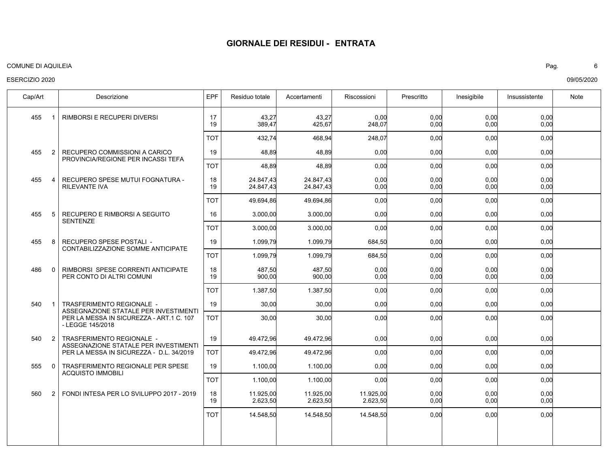### COMUNE DI AQUILEIA Pag. 6

### ESERCIZIO 2020

RIMBORSI E RECUPERI DIVERSI RECUPERO COMMISSIONI A CARICO PROVINCIA/REGIONE PER INCASSI TEFA RECUPERO SPESE MUTUI FOGNATURA - RILEVANTE IVA RECUPERO E RIMBORSI A SEGUITO SENTENZE RECUPERO SPESE POSTALI - CONTABILIZZAZIONE SOMME ANTICIPATE RIMBORSI SPESE CORRENTI ANTICIPATE PER CONTO DI ALTRI COMUNI TRASFERIMENTO REGIONALE - ASSEGNAZIONE STATALE PER INVESTIMENTI PER LA MESSA IN SICUREZZA - ART.1 C. 107 - LEGGE 145/2018 TRASFERIMENTO REGIONALE - ASSEGNAZIONE STATALE PER INVESTIMENTI PER LA MESSA IN SICUREZZA - D.L. 34/2019 TRASFERIMENTO REGIONALE PER SPESE ACQUISTO IMMOBILI FONDI INTESA PER LO SVILUPPO 2017 - 2019 455 455 455 455 455 486 540 540 555 560 Cap/Art | Descrizione IEPF Residuo totale Accertamenti | Riscossioni | Prescritto | Inesigibile | Insussistente | Note 1  $\mathcal{P}$ 4 5 8  $\Omega$ 1 2  $\Omega$ 2 0,00 0,00 0,00 0,00  $0.00$ 0,00 0,00 0,00  $0.00$ 0,00 0,00 0,00 0,00  $0.00$ 43,27 389,47 48,89 24.847,43 24.847,43 3.000,00 1.099,79 487,50 900,00 30,00 49.472,96 1.100,00 11.925,00 2.623,50 43,27 425,67 48,89 24.847,43 24.847,43 3.000,00 1.099,79 487,50 900,00 30,00 49.472,96 1.100,00 11.925,00 2.623,50 0,00 248,07 0,00 0,00  $0.00$ 0,00 684,50 0,00  $0.00$ 0,00 0,00 0,00 11.925,00 2.623,50 0,00 0,00 0,00 0,00 0,00 0,00 0,00 0,00 0,00 0,00 0,00 0,00 0,00 0,00 0,00 0,00 0,00 0,00  $0.00$ 0,00 0,00 0,00 0,00 0,00 0,00 0,00 0,00  $0.00$  17 19 19 18 19 16 19 18 19 19 19 19 18 19 0,00 0,00 0,00 0,00 0,00 0,00 0,00 0,00 0,00 0,00 432,74 48,89 49.694,86 3.000,00 1.099,79 1.387,50 30,00 49.472,96 1.100,00 14.548,50 468,94 48,89 49.694,86 3.000,00 1.099,79 1.387,50 30,00 49.472,96 1.100,00 14.548,50 248,07 0,00 0,00 0,00 684,50 0,00 0,00 0,00 0,00 14.548,50 0,00 0,00 0,00 0,00 0,00 0,00 0,00 0,00 0,00 0,00 0,00 0,00 0,00 0,00 0,00 0,00 0,00 0,00 0,00 0,00 TOT TOT TOT TOT TOT TOT TOT TOT TOT TOT